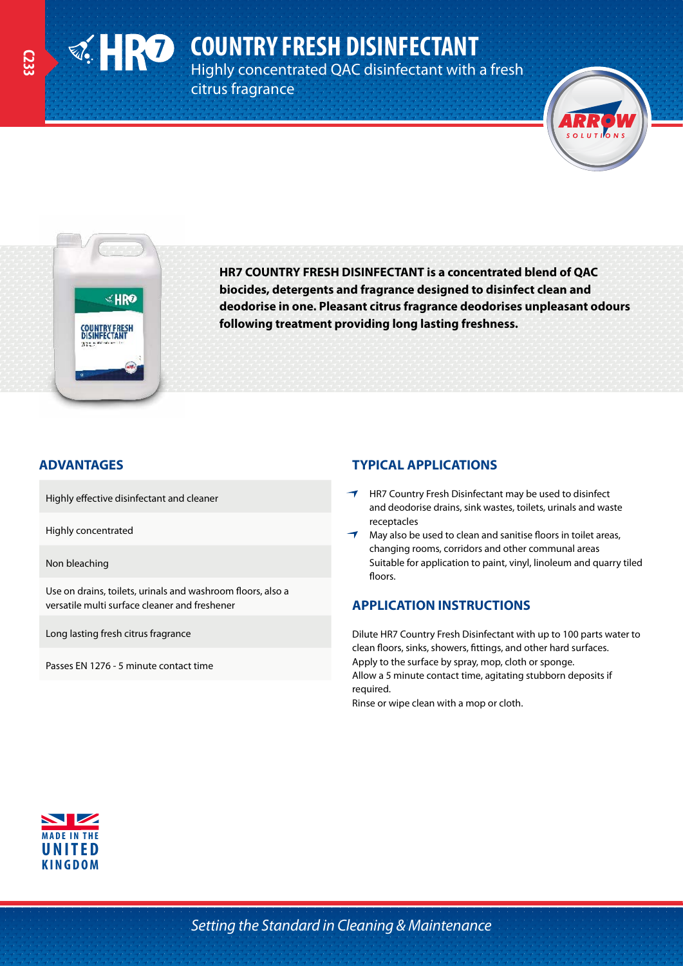**COUNTRY FRESH DISINFECTANT**

Highly concentrated QAC disinfectant with a fresh

citrus fragrance





**HR7 COUNTRY FRESH DISINFECTANT is a concentrated blend of QAC biocides, detergents and fragrance designed to disinfect clean and deodorise in one. Pleasant citrus fragrance deodorises unpleasant odours following treatment providing long lasting freshness.**

Highly effective disinfectant and cleaner

Highly concentrated

Non bleaching

Use on drains, toilets, urinals and washroom floors, also a versatile multi surface cleaner and freshener

Long lasting fresh citrus fragrance

Passes EN 1276 - 5 minute contact time

#### **ADVANTAGES TYPICAL APPLICATIONS**

- HR7 Country Fresh Disinfectant may be used to disinfect and deodorise drains, sink wastes, toilets, urinals and waste receptacles
- May also be used to clean and sanitise floors in toilet areas, changing rooms, corridors and other communal areas Suitable for application to paint, vinyl, linoleum and quarry tiled floors.

## **APPLICATION INSTRUCTIONS**

Dilute HR7 Country Fresh Disinfectant with up to 100 parts water to clean floors, sinks, showers, fittings, and other hard surfaces. Apply to the surface by spray, mop, cloth or sponge. Allow a 5 minute contact time, agitating stubborn deposits if required.

Rinse or wipe clean with a mop or cloth.